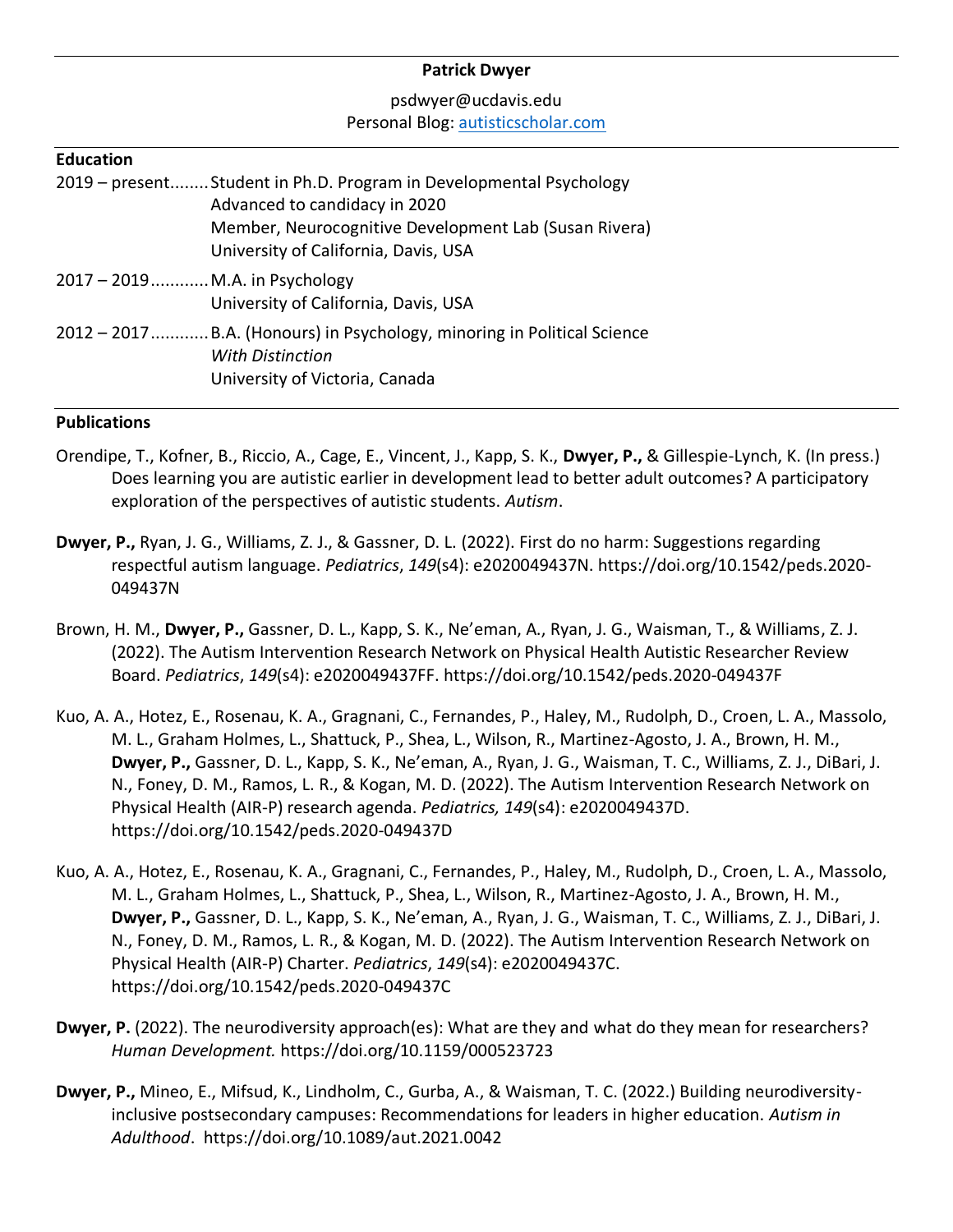#### **Patrick Dwyer**

### psdwyer@ucdavis.edu Personal Blog: [autisticscholar.com](http://www.autisticscholar.com/)

#### **Education**

|                                | 2019 – present Student in Ph.D. Program in Developmental Psychology<br>Advanced to candidacy in 2020<br>Member, Neurocognitive Development Lab (Susan Rivera)<br>University of California, Davis, USA |
|--------------------------------|-------------------------------------------------------------------------------------------------------------------------------------------------------------------------------------------------------|
| 2017 - 2019 M.A. in Psychology | University of California, Davis, USA                                                                                                                                                                  |
|                                | 2012 – 2017  B.A. (Honours) in Psychology, minoring in Political Science<br><b>With Distinction</b><br>University of Victoria, Canada                                                                 |

#### **Publications**

- Orendipe, T., Kofner, B., Riccio, A., Cage, E., Vincent, J., Kapp, S. K., **Dwyer, P.,** & Gillespie-Lynch, K. (In press.) Does learning you are autistic earlier in development lead to better adult outcomes? A participatory exploration of the perspectives of autistic students. *Autism*.
- **Dwyer, P.,** Ryan, J. G., Williams, Z. J., & Gassner, D. L. (2022). First do no harm: Suggestions regarding respectful autism language. *Pediatrics*, *149*(s4): e2020049437N. https://doi.org/10.1542/peds.2020- 049437N
- Brown, H. M., **Dwyer, P.,** Gassner, D. L., Kapp, S. K., Ne'eman, A., Ryan, J. G., Waisman, T., & Williams, Z. J. (2022). The Autism Intervention Research Network on Physical Health Autistic Researcher Review Board. *Pediatrics*, *149*(s4): e2020049437FF. https://doi.org/10.1542/peds.2020-049437F
- Kuo, A. A., Hotez, E., Rosenau, K. A., Gragnani, C., Fernandes, P., Haley, M., Rudolph, D., Croen, L. A., Massolo, M. L., Graham Holmes, L., Shattuck, P., Shea, L., Wilson, R., Martinez-Agosto, J. A., Brown, H. M., **Dwyer, P.,** Gassner, D. L., Kapp, S. K., Ne'eman, A., Ryan, J. G., Waisman, T. C., Williams, Z. J., DiBari, J. N., Foney, D. M., Ramos, L. R., & Kogan, M. D. (2022). The Autism Intervention Research Network on Physical Health (AIR-P) research agenda. *Pediatrics, 149*(s4): e2020049437D. https://doi.org/10.1542/peds.2020-049437D
- Kuo, A. A., Hotez, E., Rosenau, K. A., Gragnani, C., Fernandes, P., Haley, M., Rudolph, D., Croen, L. A., Massolo, M. L., Graham Holmes, L., Shattuck, P., Shea, L., Wilson, R., Martinez-Agosto, J. A., Brown, H. M., **Dwyer, P.,** Gassner, D. L., Kapp, S. K., Ne'eman, A., Ryan, J. G., Waisman, T. C., Williams, Z. J., DiBari, J. N., Foney, D. M., Ramos, L. R., & Kogan, M. D. (2022). The Autism Intervention Research Network on Physical Health (AIR-P) Charter. *Pediatrics*, *149*(s4): e2020049437C. https://doi.org/10.1542/peds.2020-049437C
- **Dwyer, P.** (2022). The neurodiversity approach(es): What are they and what do they mean for researchers? *Human Development.* https://doi.org/10.1159/000523723
- **Dwyer, P.,** Mineo, E., Mifsud, K., Lindholm, C., Gurba, A., & Waisman, T. C. (2022.) Building neurodiversityinclusive postsecondary campuses: Recommendations for leaders in higher education. *Autism in Adulthood*. https://doi.org/10.1089/aut.2021.0042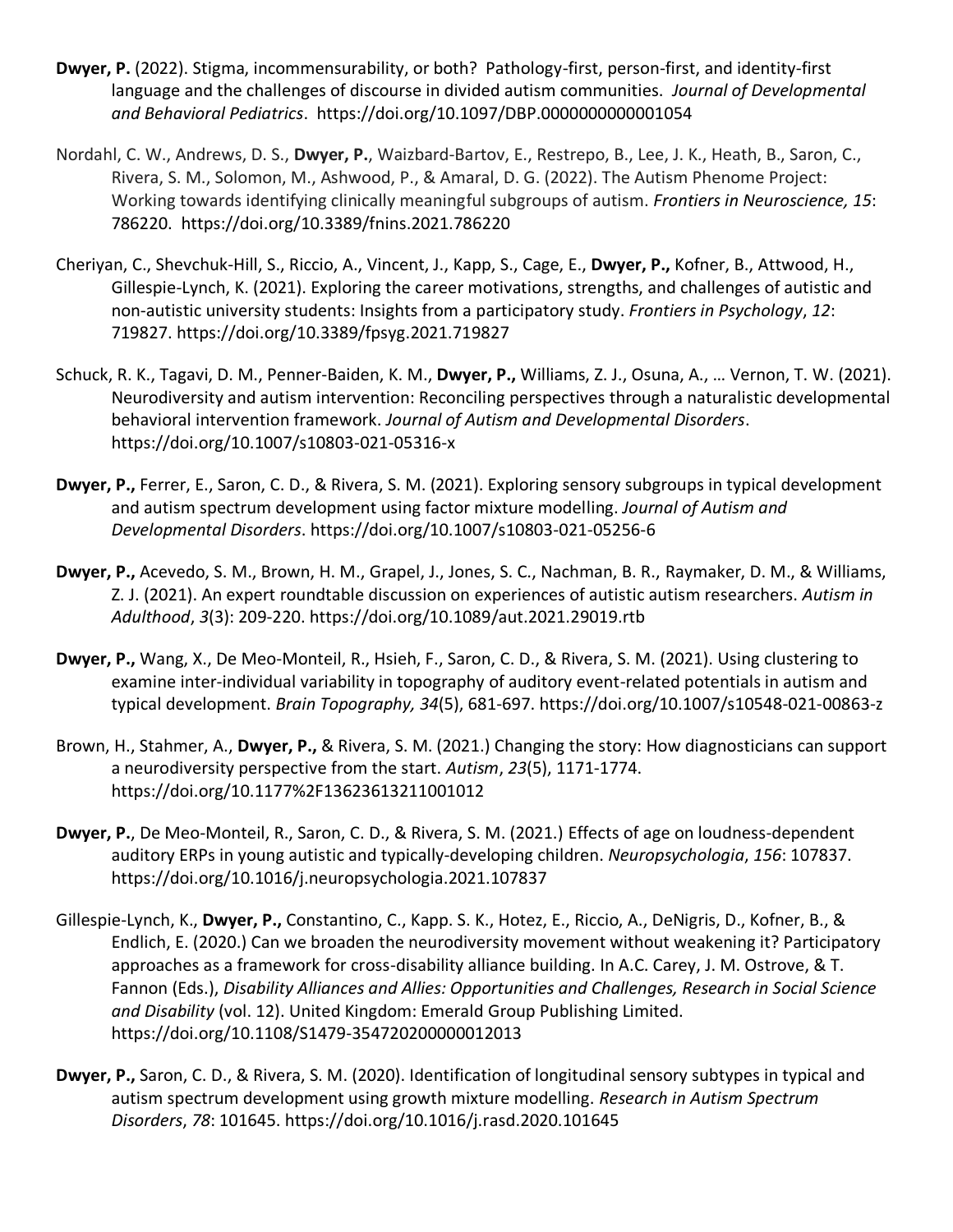- **Dwyer, P.** (2022). Stigma, incommensurability, or both? Pathology-first, person-first, and identity-first language and the challenges of discourse in divided autism communities. *Journal of Developmental and Behavioral Pediatrics*. https://doi.org/10.1097/DBP.0000000000001054
- Nordahl, C. W., Andrews, D. S., **Dwyer, P.**, Waizbard-Bartov, E., Restrepo, B., Lee, J. K., Heath, B., Saron, C., Rivera, S. M., Solomon, M., Ashwood, P., & Amaral, D. G. (2022). The Autism Phenome Project: Working towards identifying clinically meaningful subgroups of autism. *Frontiers in Neuroscience, 15*: 786220. https://doi.org/10.3389/fnins.2021.786220
- Cheriyan, C., Shevchuk-Hill, S., Riccio, A., Vincent, J., Kapp, S., Cage, E., **Dwyer, P.,** Kofner, B., Attwood, H., Gillespie-Lynch, K. (2021). Exploring the career motivations, strengths, and challenges of autistic and non-autistic university students: Insights from a participatory study. *Frontiers in Psychology*, *12*: 719827. https://doi.org/10.3389/fpsyg.2021.719827
- Schuck, R. K., Tagavi, D. M., Penner-Baiden, K. M., **Dwyer, P.,** Williams, Z. J., Osuna, A., … Vernon, T. W. (2021). Neurodiversity and autism intervention: Reconciling perspectives through a naturalistic developmental behavioral intervention framework. *Journal of Autism and Developmental Disorders*. https://doi.org/10.1007/s10803-021-05316-x
- **Dwyer, P.,** Ferrer, E., Saron, C. D., & Rivera, S. M. (2021). Exploring sensory subgroups in typical development and autism spectrum development using factor mixture modelling. *Journal of Autism and Developmental Disorders*. https://doi.org/10.1007/s10803-021-05256-6
- **Dwyer, P.,** Acevedo, S. M., Brown, H. M., Grapel, J., Jones, S. C., Nachman, B. R., Raymaker, D. M., & Williams, Z. J. (2021). An expert roundtable discussion on experiences of autistic autism researchers. *Autism in Adulthood*, *3*(3): 209-220. https://doi.org/10.1089/aut.2021.29019.rtb
- **Dwyer, P.,** Wang, X., De Meo-Monteil, R., Hsieh, F., Saron, C. D., & Rivera, S. M. (2021). Using clustering to examine inter-individual variability in topography of auditory event-related potentials in autism and typical development. *Brain Topography, 34*(5), 681-697. https://doi.org/10.1007/s10548-021-00863-z
- Brown, H., Stahmer, A., **Dwyer, P.,** & Rivera, S. M. (2021.) Changing the story: How diagnosticians can support a neurodiversity perspective from the start. *Autism*, *23*(5), 1171-1774. https://doi.org/10.1177%2F13623613211001012
- **Dwyer, P.**, De Meo-Monteil, R., Saron, C. D., & Rivera, S. M. (2021.) Effects of age on loudness-dependent auditory ERPs in young autistic and typically-developing children. *Neuropsychologia*, *156*: 107837. https://doi.org/10.1016/j.neuropsychologia.2021.107837
- Gillespie-Lynch, K., **Dwyer, P.,** Constantino, C., Kapp. S. K., Hotez, E., Riccio, A., DeNigris, D., Kofner, B., & Endlich, E. (2020.) Can we broaden the neurodiversity movement without weakening it? Participatory approaches as a framework for cross-disability alliance building. In A.C. Carey, J. M. Ostrove, & T. Fannon (Eds.), *Disability Alliances and Allies: Opportunities and Challenges, Research in Social Science and Disability* (vol. 12). United Kingdom: Emerald Group Publishing Limited. https://doi.org/10.1108/S1479-354720200000012013
- **Dwyer, P.,** Saron, C. D., & Rivera, S. M. (2020). Identification of longitudinal sensory subtypes in typical and autism spectrum development using growth mixture modelling. *Research in Autism Spectrum Disorders*, *78*: 101645. https://doi.org/10.1016/j.rasd.2020.101645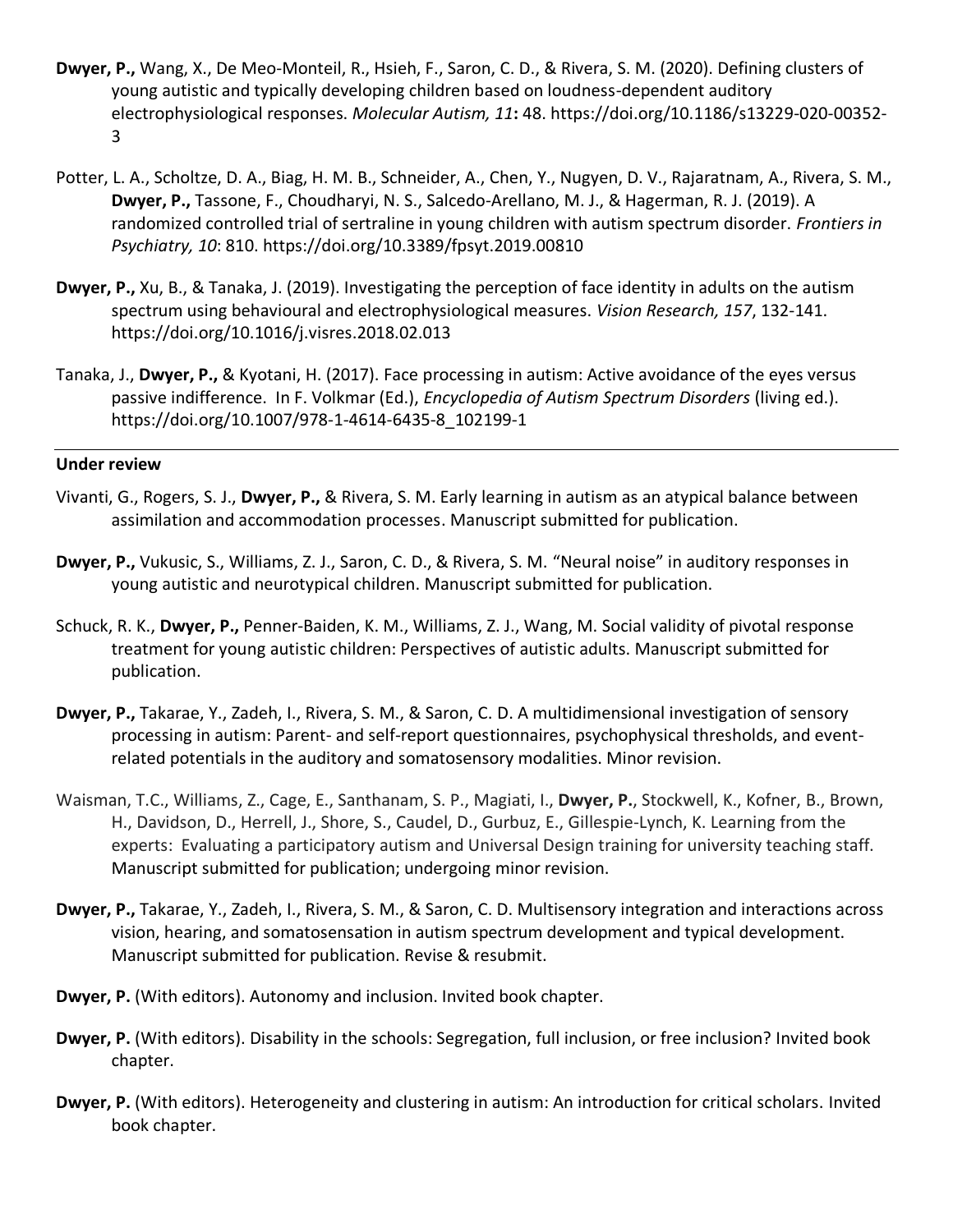- **Dwyer, P.,** Wang, X., De Meo-Monteil, R., Hsieh, F., Saron, C. D., & Rivera, S. M. (2020). Defining clusters of young autistic and typically developing children based on loudness-dependent auditory electrophysiological responses. *Molecular Autism, 11***:** 48. https://doi.org/10.1186/s13229-020-00352- 3
- Potter, L. A., Scholtze, D. A., Biag, H. M. B., Schneider, A., Chen, Y., Nugyen, D. V., Rajaratnam, A., Rivera, S. M., **Dwyer, P.,** Tassone, F., Choudharyi, N. S., Salcedo-Arellano, M. J., & Hagerman, R. J. (2019). A randomized controlled trial of sertraline in young children with autism spectrum disorder. *Frontiers in Psychiatry, 10*: 810. https://doi.org/10.3389/fpsyt.2019.00810
- **Dwyer, P.,** Xu, B., & Tanaka, J. (2019). Investigating the perception of face identity in adults on the autism spectrum using behavioural and electrophysiological measures. *Vision Research, 157*, 132-141. https://doi.org/10.1016/j.visres.2018.02.013
- Tanaka, J., **Dwyer, P.,** & Kyotani, H. (2017). Face processing in autism: Active avoidance of the eyes versus passive indifference. In F. Volkmar (Ed.), *Encyclopedia of Autism Spectrum Disorders* (living ed.). https://doi.org/10.1007/978-1-4614-6435-8\_102199-1

#### **Under review**

- Vivanti, G., Rogers, S. J., **Dwyer, P.,** & Rivera, S. M. Early learning in autism as an atypical balance between assimilation and accommodation processes. Manuscript submitted for publication.
- **Dwyer, P.,** Vukusic, S., Williams, Z. J., Saron, C. D., & Rivera, S. M. "Neural noise" in auditory responses in young autistic and neurotypical children. Manuscript submitted for publication.
- Schuck, R. K., **Dwyer, P.,** Penner-Baiden, K. M., Williams, Z. J., Wang, M. Social validity of pivotal response treatment for young autistic children: Perspectives of autistic adults. Manuscript submitted for publication.
- **Dwyer, P.,** Takarae, Y., Zadeh, I., Rivera, S. M., & Saron, C. D. A multidimensional investigation of sensory processing in autism: Parent- and self-report questionnaires, psychophysical thresholds, and eventrelated potentials in the auditory and somatosensory modalities. Minor revision.
- Waisman, T.C., Williams, Z., Cage, E., Santhanam, S. P., Magiati, I., **Dwyer, P.**, Stockwell, K., Kofner, B., Brown, H., Davidson, D., Herrell, J., Shore, S., Caudel, D., Gurbuz, E., Gillespie-Lynch, K. Learning from the experts: Evaluating a participatory autism and Universal Design training for university teaching staff. Manuscript submitted for publication; undergoing minor revision.
- **Dwyer, P.,** Takarae, Y., Zadeh, I., Rivera, S. M., & Saron, C. D. Multisensory integration and interactions across vision, hearing, and somatosensation in autism spectrum development and typical development. Manuscript submitted for publication. Revise & resubmit.
- **Dwyer, P.** (With editors). Autonomy and inclusion. Invited book chapter.
- **Dwyer, P.** (With editors). Disability in the schools: Segregation, full inclusion, or free inclusion? Invited book chapter.
- **Dwyer, P.** (With editors). Heterogeneity and clustering in autism: An introduction for critical scholars. Invited book chapter.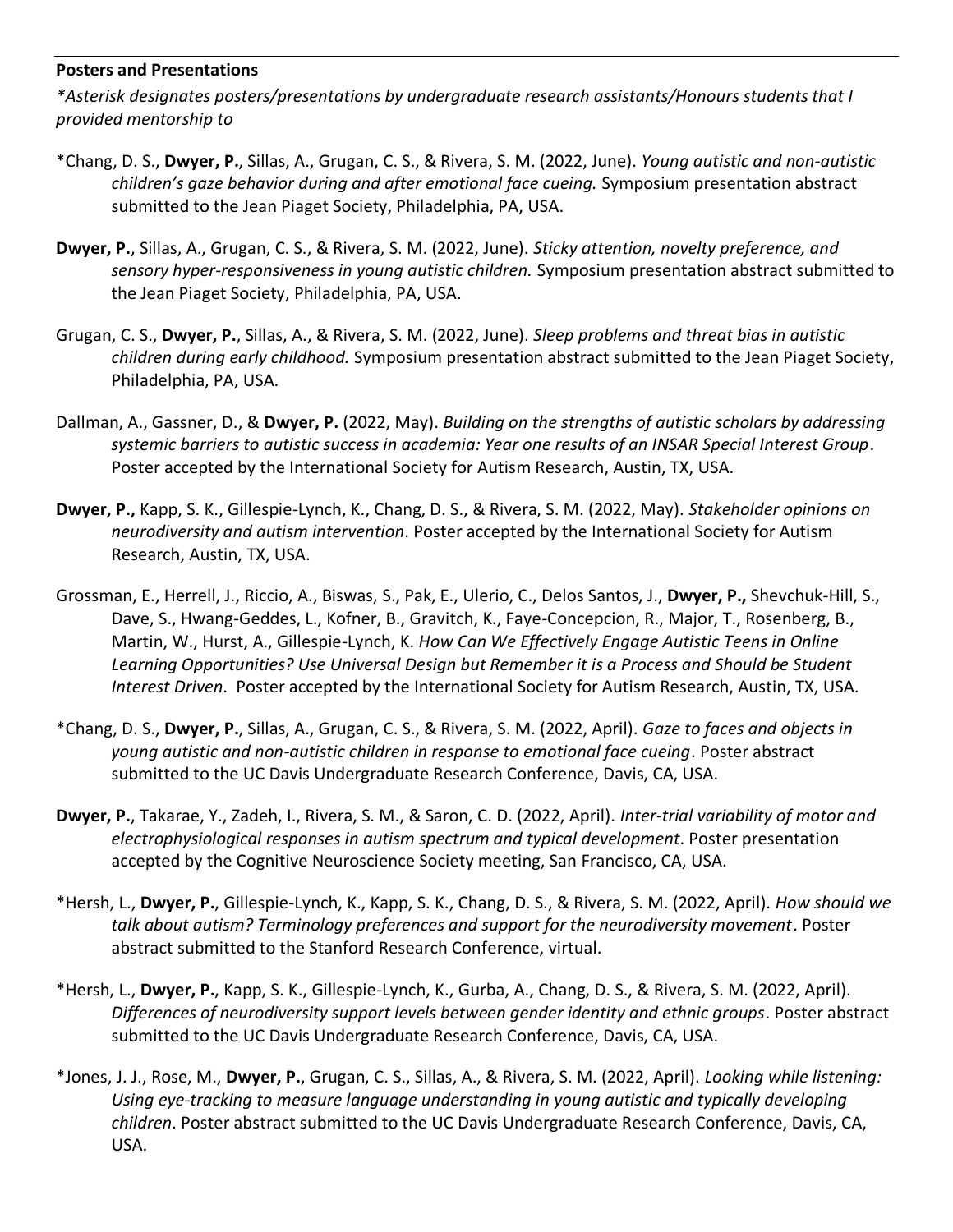#### **Posters and Presentations**

*\*Asterisk designates posters/presentations by undergraduate research assistants/Honours students that I provided mentorship to*

- \*Chang, D. S., **Dwyer, P.**, Sillas, A., Grugan, C. S., & Rivera, S. M. (2022, June). *Young autistic and non-autistic children's gaze behavior during and after emotional face cueing.* Symposium presentation abstract submitted to the Jean Piaget Society, Philadelphia, PA, USA.
- **Dwyer, P.**, Sillas, A., Grugan, C. S., & Rivera, S. M. (2022, June). *Sticky attention, novelty preference, and sensory hyper-responsiveness in young autistic children.* Symposium presentation abstract submitted to the Jean Piaget Society, Philadelphia, PA, USA.
- Grugan, C. S., **Dwyer, P.**, Sillas, A., & Rivera, S. M. (2022, June). *Sleep problems and threat bias in autistic children during early childhood.* Symposium presentation abstract submitted to the Jean Piaget Society, Philadelphia, PA, USA.
- Dallman, A., Gassner, D., & **Dwyer, P.** (2022, May). *Building on the strengths of autistic scholars by addressing systemic barriers to autistic success in academia: Year one results of an INSAR Special Interest Group*. Poster accepted by the International Society for Autism Research, Austin, TX, USA.
- **Dwyer, P.,** Kapp, S. K., Gillespie-Lynch, K., Chang, D. S., & Rivera, S. M. (2022, May). *Stakeholder opinions on neurodiversity and autism intervention*. Poster accepted by the International Society for Autism Research, Austin, TX, USA.
- Grossman, E., Herrell, J., Riccio, A., Biswas, S., Pak, E., Ulerio, C., Delos Santos, J., **Dwyer, P.,** Shevchuk-Hill, S., Dave, S., Hwang-Geddes, L., Kofner, B., Gravitch, K., Faye-Concepcion, R., Major, T., Rosenberg, B., Martin, W., Hurst, A., Gillespie-Lynch, K. *How Can We Effectively Engage Autistic Teens in Online Learning Opportunities? Use Universal Design but Remember it is a Process and Should be Student Interest Driven*. Poster accepted by the International Society for Autism Research, Austin, TX, USA.
- \*Chang, D. S., **Dwyer, P.**, Sillas, A., Grugan, C. S., & Rivera, S. M. (2022, April). *Gaze to faces and objects in young autistic and non-autistic children in response to emotional face cueing*. Poster abstract submitted to the UC Davis Undergraduate Research Conference, Davis, CA, USA.
- **Dwyer, P.**, Takarae, Y., Zadeh, I., Rivera, S. M., & Saron, C. D. (2022, April). *Inter-trial variability of motor and electrophysiological responses in autism spectrum and typical development*. Poster presentation accepted by the Cognitive Neuroscience Society meeting, San Francisco, CA, USA.
- \*Hersh, L., **Dwyer, P.**, Gillespie-Lynch, K., Kapp, S. K., Chang, D. S., & Rivera, S. M. (2022, April). *How should we talk about autism? Terminology preferences and support for the neurodiversity movement*. Poster abstract submitted to the Stanford Research Conference, virtual.
- \*Hersh, L., **Dwyer, P.**, Kapp, S. K., Gillespie-Lynch, K., Gurba, A., Chang, D. S., & Rivera, S. M. (2022, April). *Differences of neurodiversity support levels between gender identity and ethnic groups*. Poster abstract submitted to the UC Davis Undergraduate Research Conference, Davis, CA, USA.
- \*Jones, J. J., Rose, M., **Dwyer, P.**, Grugan, C. S., Sillas, A., & Rivera, S. M. (2022, April). *Looking while listening: Using eye-tracking to measure language understanding in young autistic and typically developing children*. Poster abstract submitted to the UC Davis Undergraduate Research Conference, Davis, CA, USA.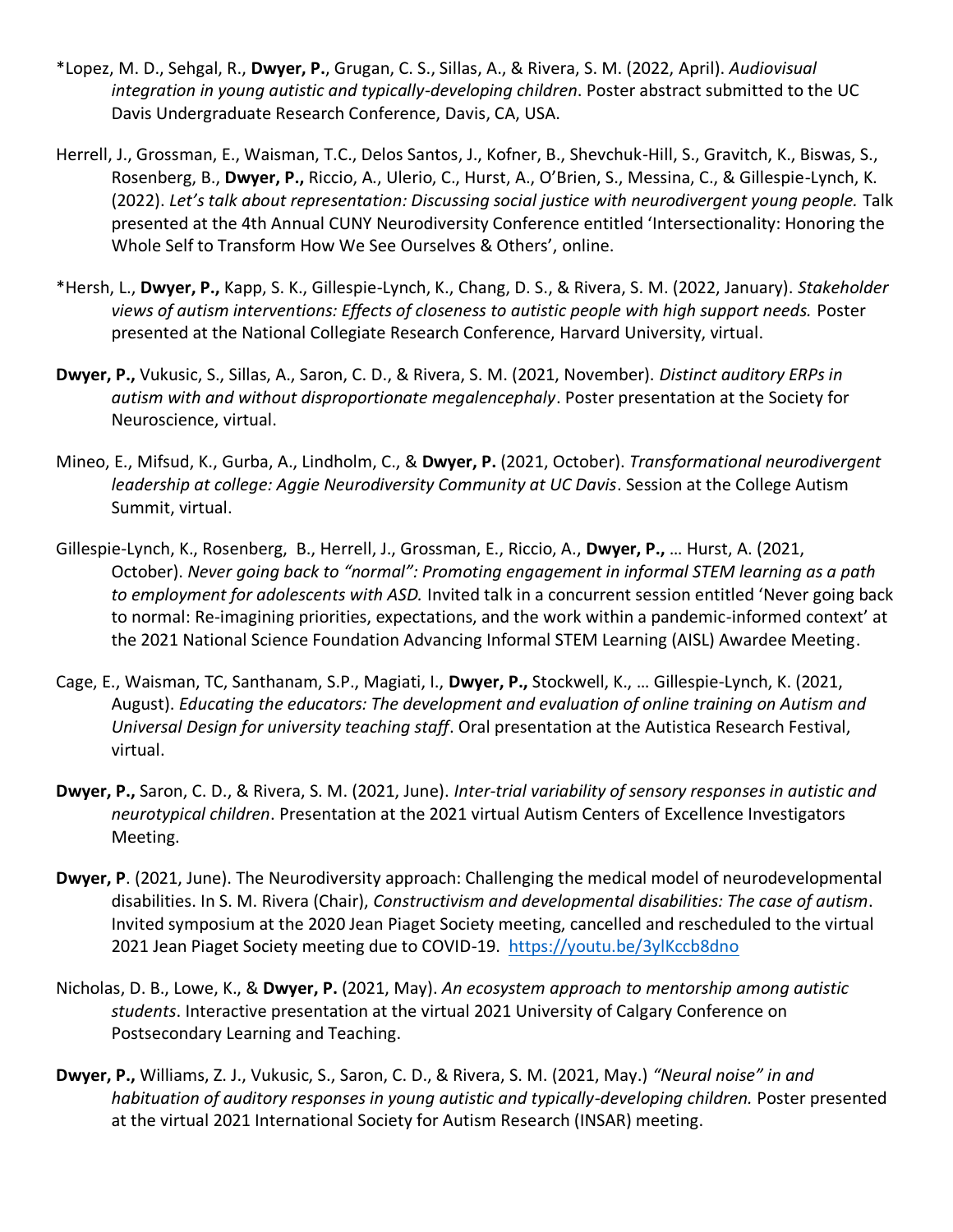- \*Lopez, M. D., Sehgal, R., **Dwyer, P.**, Grugan, C. S., Sillas, A., & Rivera, S. M. (2022, April). *Audiovisual integration in young autistic and typically-developing children*. Poster abstract submitted to the UC Davis Undergraduate Research Conference, Davis, CA, USA.
- Herrell, J., Grossman, E., Waisman, T.C., Delos Santos, J., Kofner, B., Shevchuk-Hill, S., Gravitch, K., Biswas, S., Rosenberg, B., **Dwyer, P.,** Riccio, A., Ulerio, C., Hurst, A., O'Brien, S., Messina, C., & Gillespie-Lynch, K. (2022). *Let's talk about representation: Discussing social justice with neurodivergent young people.* Talk presented at the 4th Annual CUNY Neurodiversity Conference entitled 'Intersectionality: Honoring the Whole Self to Transform How We See Ourselves & Others', online.
- \*Hersh, L., **Dwyer, P.,** Kapp, S. K., Gillespie-Lynch, K., Chang, D. S., & Rivera, S. M. (2022, January). *Stakeholder views of autism interventions: Effects of closeness to autistic people with high support needs.* Poster presented at the National Collegiate Research Conference, Harvard University, virtual.
- **Dwyer, P.,** Vukusic, S., Sillas, A., Saron, C. D., & Rivera, S. M. (2021, November). *Distinct auditory ERPs in autism with and without disproportionate megalencephaly*. Poster presentation at the Society for Neuroscience, virtual.
- Mineo, E., Mifsud, K., Gurba, A., Lindholm, C., & **Dwyer, P.** (2021, October). *Transformational neurodivergent leadership at college: Aggie Neurodiversity Community at UC Davis*. Session at the College Autism Summit, virtual.
- Gillespie-Lynch, K., Rosenberg, B., Herrell, J., Grossman, E., Riccio, A., **Dwyer, P.,** … Hurst, A. (2021, October). *Never going back to "normal": Promoting engagement in informal STEM learning as a path to employment for adolescents with ASD.* Invited talk in a concurrent session entitled 'Never going back to normal: Re-imagining priorities, expectations, and the work within a pandemic-informed context' at the 2021 National Science Foundation Advancing Informal STEM Learning (AISL) Awardee Meeting.
- Cage, E., Waisman, TC, Santhanam, S.P., Magiati, I., **Dwyer, P.,** Stockwell, K., … Gillespie-Lynch, K. (2021, August). *Educating the educators: The development and evaluation of online training on Autism and Universal Design for university teaching staff*. Oral presentation at the Autistica Research Festival, virtual.
- **Dwyer, P.,** Saron, C. D., & Rivera, S. M. (2021, June). *Inter-trial variability of sensory responses in autistic and neurotypical children*. Presentation at the 2021 virtual Autism Centers of Excellence Investigators Meeting.
- **Dwyer, P**. (2021, June). The Neurodiversity approach: Challenging the medical model of neurodevelopmental disabilities. In S. M. Rivera (Chair), *Constructivism and developmental disabilities: The case of autism*. Invited symposium at the 2020 Jean Piaget Society meeting, cancelled and rescheduled to the virtual 2021 Jean Piaget Society meeting due to COVID-19. <https://youtu.be/3ylKccb8dno>
- Nicholas, D. B., Lowe, K., & **Dwyer, P.** (2021, May). *An ecosystem approach to mentorship among autistic students*. Interactive presentation at the virtual 2021 University of Calgary Conference on Postsecondary Learning and Teaching.
- **Dwyer, P.,** Williams, Z. J., Vukusic, S., Saron, C. D., & Rivera, S. M. (2021, May.) *"Neural noise" in and habituation of auditory responses in young autistic and typically-developing children.* Poster presented at the virtual 2021 International Society for Autism Research (INSAR) meeting.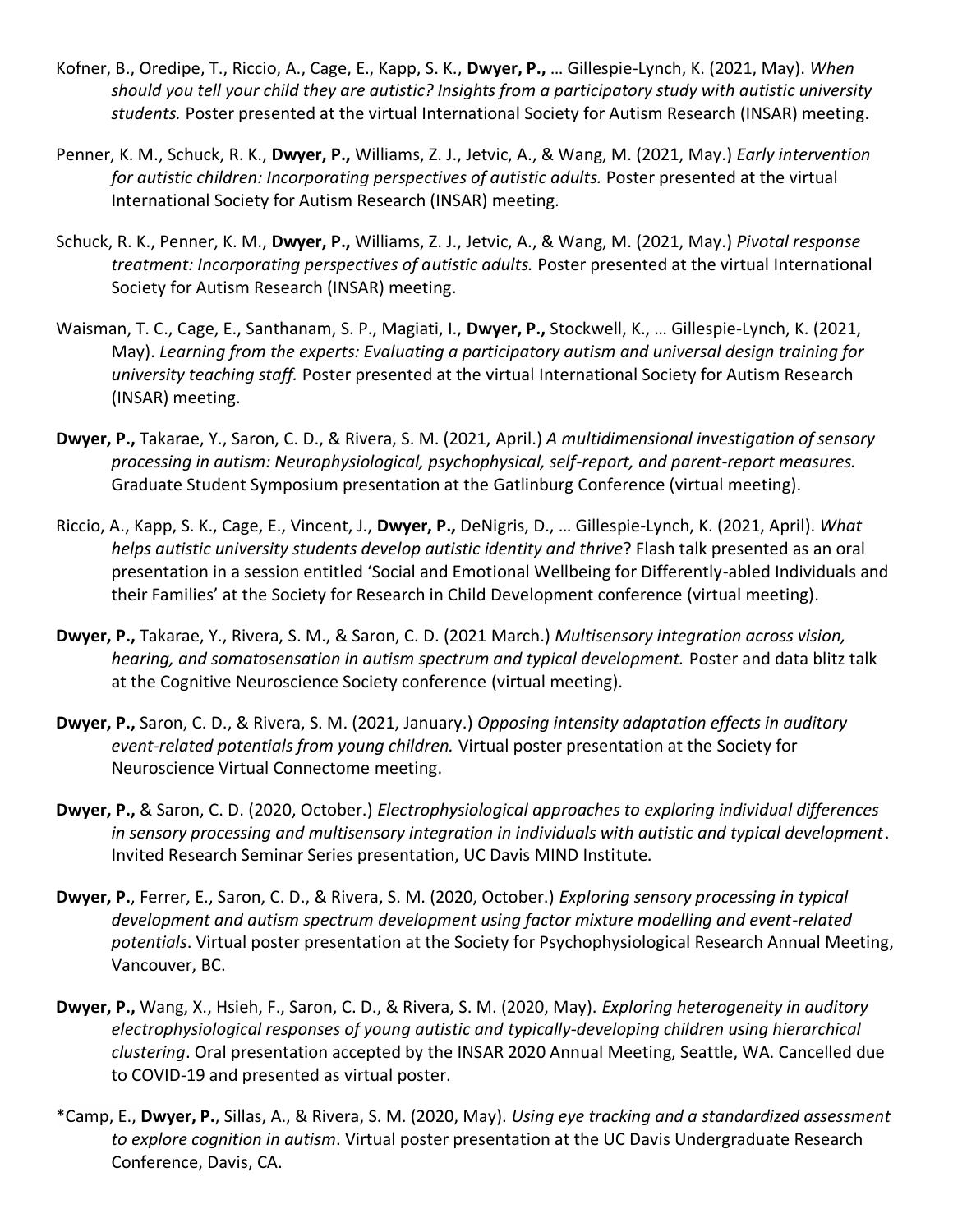- Kofner, B., Oredipe, T., Riccio, A., Cage, E., Kapp, S. K., **Dwyer, P.,** … Gillespie-Lynch, K. (2021, May). *When should you tell your child they are autistic? Insights from a participatory study with autistic university students.* Poster presented at the virtual International Society for Autism Research (INSAR) meeting.
- Penner, K. M., Schuck, R. K., **Dwyer, P.,** Williams, Z. J., Jetvic, A., & Wang, M. (2021, May.) *Early intervention for autistic children: Incorporating perspectives of autistic adults.* Poster presented at the virtual International Society for Autism Research (INSAR) meeting.
- Schuck, R. K., Penner, K. M., **Dwyer, P.,** Williams, Z. J., Jetvic, A., & Wang, M. (2021, May.) *Pivotal response treatment: Incorporating perspectives of autistic adults.* Poster presented at the virtual International Society for Autism Research (INSAR) meeting.
- Waisman, T. C., Cage, E., Santhanam, S. P., Magiati, I., **Dwyer, P.,** Stockwell, K., … Gillespie-Lynch, K. (2021, May). *Learning from the experts: Evaluating a participatory autism and universal design training for university teaching staff.* Poster presented at the virtual International Society for Autism Research (INSAR) meeting.
- **Dwyer, P.,** Takarae, Y., Saron, C. D., & Rivera, S. M. (2021, April.) *A multidimensional investigation of sensory processing in autism: Neurophysiological, psychophysical, self-report, and parent-report measures.*  Graduate Student Symposium presentation at the Gatlinburg Conference (virtual meeting).
- Riccio, A., Kapp, S. K., Cage, E., Vincent, J., **Dwyer, P.,** DeNigris, D., … Gillespie-Lynch, K. (2021, April). *What helps autistic university students develop autistic identity and thrive*? Flash talk presented as an oral presentation in a session entitled 'Social and Emotional Wellbeing for Differently-abled Individuals and their Families' at the Society for Research in Child Development conference (virtual meeting).
- **Dwyer, P.,** Takarae, Y., Rivera, S. M., & Saron, C. D. (2021 March.) *Multisensory integration across vision, hearing, and somatosensation in autism spectrum and typical development.* Poster and data blitz talk at the Cognitive Neuroscience Society conference (virtual meeting).
- **Dwyer, P.,** Saron, C. D., & Rivera, S. M. (2021, January.) *Opposing intensity adaptation effects in auditory event-related potentials from young children.* Virtual poster presentation at the Society for Neuroscience Virtual Connectome meeting.
- **Dwyer, P.,** & Saron, C. D. (2020, October.) *Electrophysiological approaches to exploring individual differences in sensory processing and multisensory integration in individuals with autistic and typical development*. Invited Research Seminar Series presentation, UC Davis MIND Institute.
- **Dwyer, P.**, Ferrer, E., Saron, C. D., & Rivera, S. M. (2020, October.) *Exploring sensory processing in typical development and autism spectrum development using factor mixture modelling and event-related potentials*. Virtual poster presentation at the Society for Psychophysiological Research Annual Meeting, Vancouver, BC.
- **Dwyer, P.,** Wang, X., Hsieh, F., Saron, C. D., & Rivera, S. M. (2020, May). *Exploring heterogeneity in auditory electrophysiological responses of young autistic and typically-developing children using hierarchical clustering*. Oral presentation accepted by the INSAR 2020 Annual Meeting, Seattle, WA. Cancelled due to COVID-19 and presented as virtual poster.
- \*Camp, E., **Dwyer, P.**, Sillas, A., & Rivera, S. M. (2020, May). *Using eye tracking and a standardized assessment to explore cognition in autism*. Virtual poster presentation at the UC Davis Undergraduate Research Conference, Davis, CA.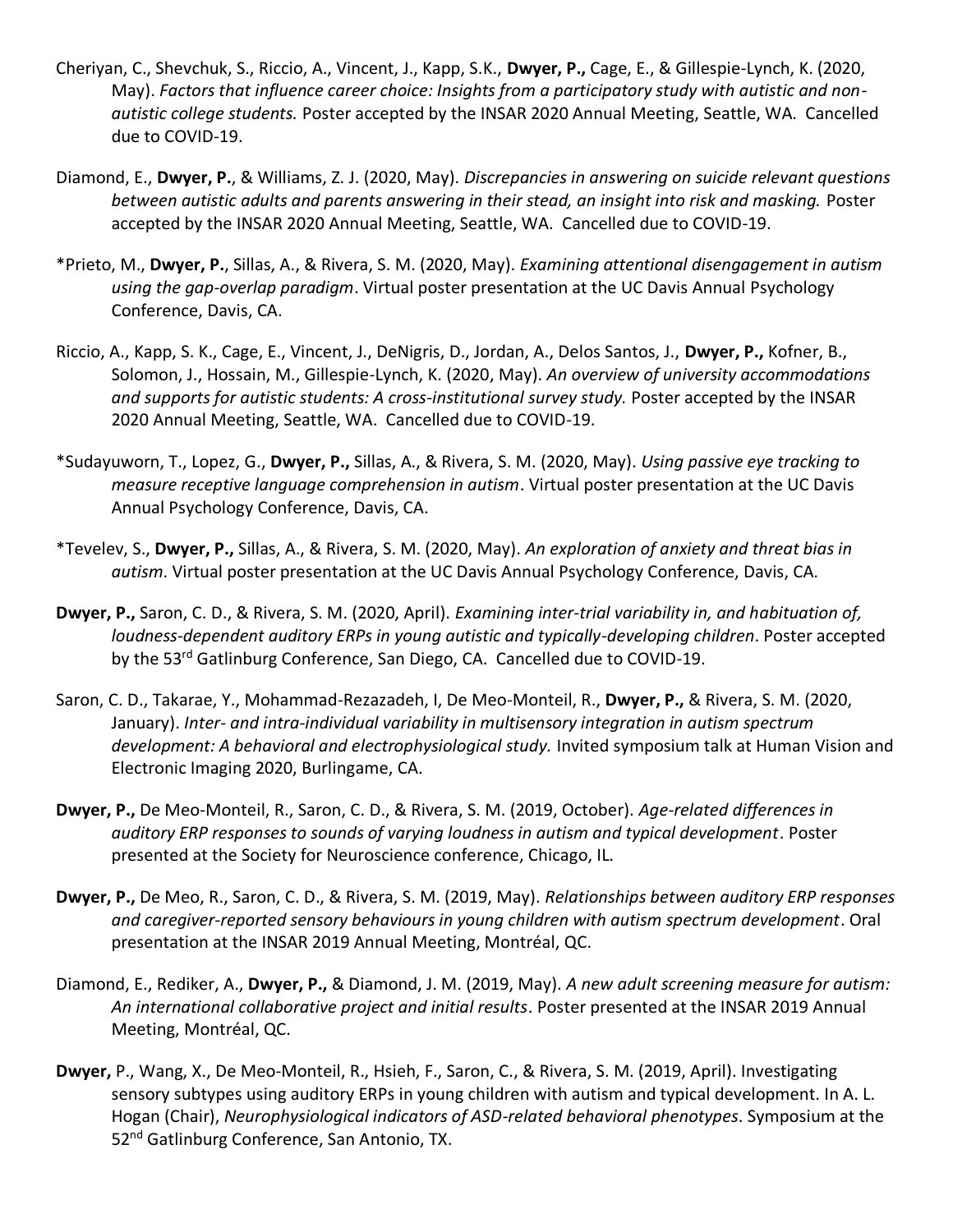- Cheriyan, C., Shevchuk, S., Riccio, A., Vincent, J., Kapp, S.K., **Dwyer, P.,** Cage, E., & Gillespie-Lynch, K. (2020, May). *Factors that influence career choice: Insights from a participatory study with autistic and nonautistic college students.* Poster accepted by the INSAR 2020 Annual Meeting, Seattle, WA. Cancelled due to COVID-19.
- Diamond, E., **Dwyer, P.**, & Williams, Z. J. (2020, May). *Discrepancies in answering on suicide relevant questions between autistic adults and parents answering in their stead, an insight into risk and masking.* Poster accepted by the INSAR 2020 Annual Meeting, Seattle, WA. Cancelled due to COVID-19.
- \*Prieto, M., **Dwyer, P.**, Sillas, A., & Rivera, S. M. (2020, May). *Examining attentional disengagement in autism using the gap-overlap paradigm*. Virtual poster presentation at the UC Davis Annual Psychology Conference, Davis, CA.
- Riccio, A., Kapp, S. K., Cage, E., Vincent, J., DeNigris, D., Jordan, A., Delos Santos, J., **Dwyer, P.,** Kofner, B., Solomon, J., Hossain, M., Gillespie-Lynch, K. (2020, May). *An overview of university accommodations and supports for autistic students: A cross-institutional survey study.* Poster accepted by the INSAR 2020 Annual Meeting, Seattle, WA. Cancelled due to COVID-19.
- \*Sudayuworn, T., Lopez, G., **Dwyer, P.,** Sillas, A., & Rivera, S. M. (2020, May). *Using passive eye tracking to measure receptive language comprehension in autism*. Virtual poster presentation at the UC Davis Annual Psychology Conference, Davis, CA.
- \*Tevelev, S., **Dwyer, P.,** Sillas, A., & Rivera, S. M. (2020, May). *An exploration of anxiety and threat bias in autism*. Virtual poster presentation at the UC Davis Annual Psychology Conference, Davis, CA.
- **Dwyer, P.,** Saron, C. D., & Rivera, S. M. (2020, April). *Examining inter-trial variability in, and habituation of, loudness-dependent auditory ERPs in young autistic and typically-developing children*. Poster accepted by the 53<sup>rd</sup> Gatlinburg Conference, San Diego, CA. Cancelled due to COVID-19.
- Saron, C. D., Takarae, Y., Mohammad-Rezazadeh, I, De Meo-Monteil, R., **Dwyer, P.,** & Rivera, S. M. (2020, January). *Inter- and intra-individual variability in multisensory integration in autism spectrum*  development: A behavioral and electrophysiological study. Invited symposium talk at Human Vision and Electronic Imaging 2020, Burlingame, CA.
- **Dwyer, P.,** De Meo-Monteil, R., Saron, C. D., & Rivera, S. M. (2019, October). *Age-related differences in auditory ERP responses to sounds of varying loudness in autism and typical development*. Poster presented at the Society for Neuroscience conference, Chicago, IL.
- **Dwyer, P.,** De Meo, R., Saron, C. D., & Rivera, S. M. (2019, May). *Relationships between auditory ERP responses and caregiver-reported sensory behaviours in young children with autism spectrum development*. Oral presentation at the INSAR 2019 Annual Meeting, Montréal, QC.
- Diamond, E., Rediker, A., **Dwyer, P.,** & Diamond, J. M. (2019, May). *A new adult screening measure for autism: An international collaborative project and initial results*. Poster presented at the INSAR 2019 Annual Meeting, Montréal, QC.
- **Dwyer,** P., Wang, X., De Meo-Monteil, R., Hsieh, F., Saron, C., & Rivera, S. M. (2019, April). Investigating sensory subtypes using auditory ERPs in young children with autism and typical development. In A. L. Hogan (Chair), *Neurophysiological indicators of ASD-related behavioral phenotypes*. Symposium at the 52<sup>nd</sup> Gatlinburg Conference, San Antonio, TX.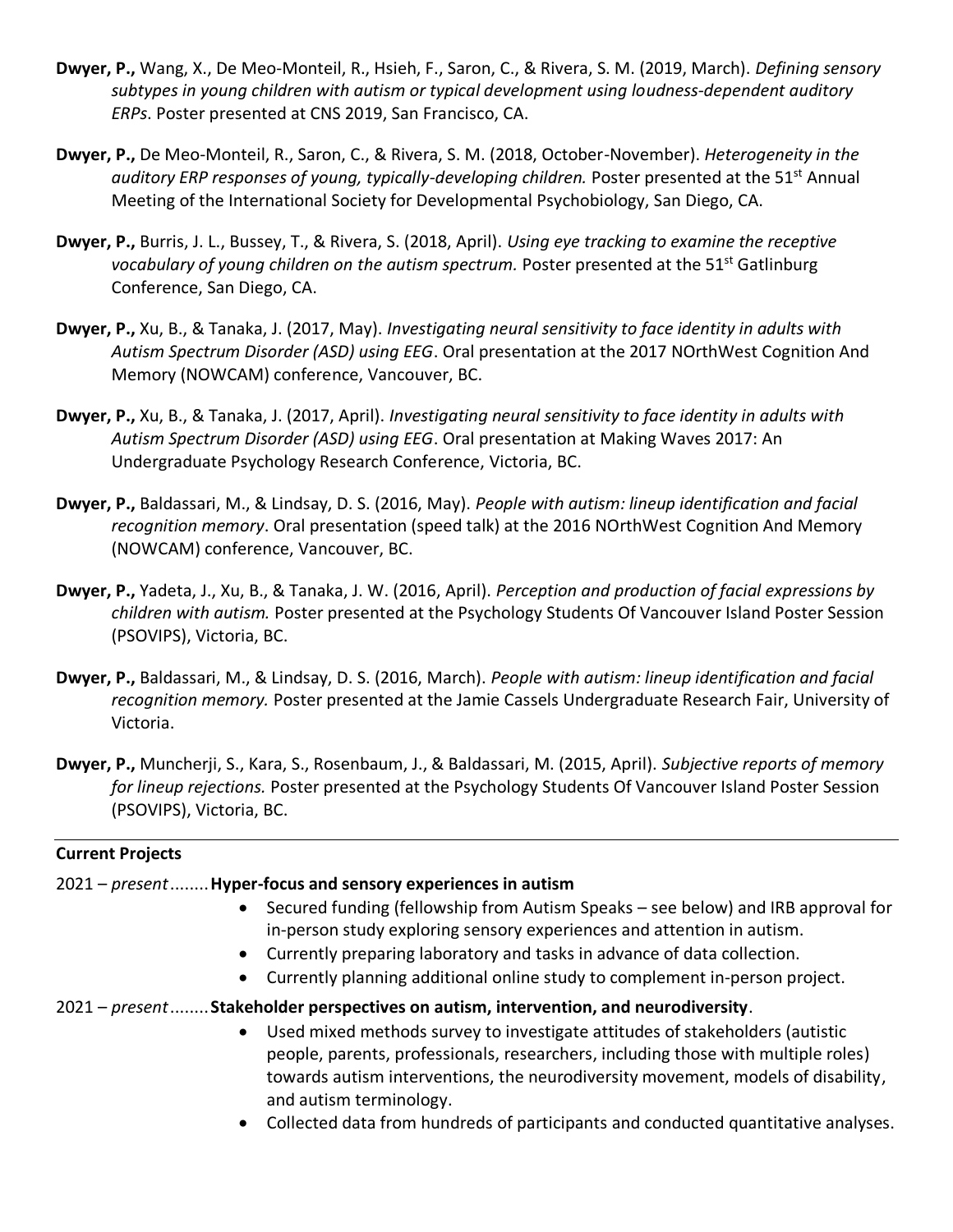- **Dwyer, P.,** Wang, X., De Meo-Monteil, R., Hsieh, F., Saron, C., & Rivera, S. M. (2019, March). *Defining sensory subtypes in young children with autism or typical development using loudness-dependent auditory ERPs*. Poster presented at CNS 2019, San Francisco, CA.
- **Dwyer, P.,** De Meo-Monteil, R., Saron, C., & Rivera, S. M. (2018, October-November). *Heterogeneity in the auditory ERP responses of young, typically-developing children.* Poster presented at the 51<sup>st</sup> Annual Meeting of the International Society for Developmental Psychobiology, San Diego, CA.
- **Dwyer, P.,** Burris, J. L., Bussey, T., & Rivera, S. (2018, April). *Using eye tracking to examine the receptive vocabulary of young children on the autism spectrum.* Poster presented at the 51<sup>st</sup> Gatlinburg Conference, San Diego, CA.
- **Dwyer, P.,** Xu, B., & Tanaka, J. (2017, May). *Investigating neural sensitivity to face identity in adults with Autism Spectrum Disorder (ASD) using EEG*. Oral presentation at the 2017 NOrthWest Cognition And Memory (NOWCAM) conference, Vancouver, BC.
- **Dwyer, P.,** Xu, B., & Tanaka, J. (2017, April). *Investigating neural sensitivity to face identity in adults with Autism Spectrum Disorder (ASD) using EEG*. Oral presentation at Making Waves 2017: An Undergraduate Psychology Research Conference, Victoria, BC.
- **Dwyer, P.,** Baldassari, M., & Lindsay, D. S. (2016, May). *People with autism: lineup identification and facial recognition memory*. Oral presentation (speed talk) at the 2016 NOrthWest Cognition And Memory (NOWCAM) conference, Vancouver, BC.
- **Dwyer, P.,** Yadeta, J., Xu, B., & Tanaka, J. W. (2016, April). *Perception and production of facial expressions by children with autism.* Poster presented at the Psychology Students Of Vancouver Island Poster Session (PSOVIPS), Victoria, BC.
- **Dwyer, P.,** Baldassari, M., & Lindsay, D. S. (2016, March). *People with autism: lineup identification and facial recognition memory.* Poster presented at the Jamie Cassels Undergraduate Research Fair, University of Victoria.
- **Dwyer, P.,** Muncherji, S., Kara, S., Rosenbaum, J., & Baldassari, M. (2015, April). *Subjective reports of memory for lineup rejections.* Poster presented at the Psychology Students Of Vancouver Island Poster Session (PSOVIPS), Victoria, BC.

#### **Current Projects**

#### 2021 – *present*........**Hyper-focus and sensory experiences in autism**

- Secured funding (fellowship from Autism Speaks see below) and IRB approval for in-person study exploring sensory experiences and attention in autism.
- Currently preparing laboratory and tasks in advance of data collection.
- Currently planning additional online study to complement in-person project.
- 2021 *present*........**Stakeholder perspectives on autism, intervention, and neurodiversity**.
	- Used mixed methods survey to investigate attitudes of stakeholders (autistic people, parents, professionals, researchers, including those with multiple roles) towards autism interventions, the neurodiversity movement, models of disability, and autism terminology.
	- Collected data from hundreds of participants and conducted quantitative analyses.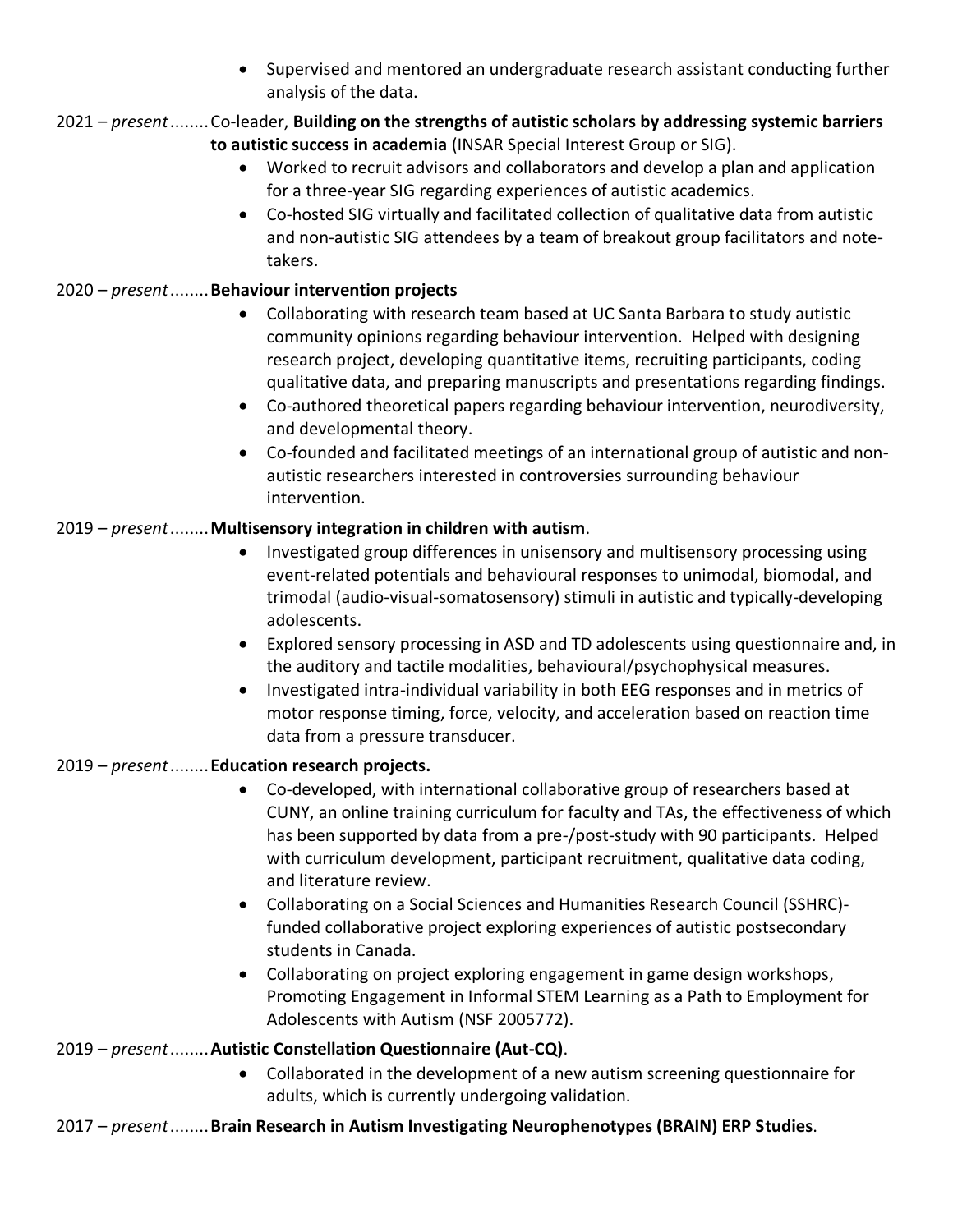• Supervised and mentored an undergraduate research assistant conducting further analysis of the data.

# 2021 – *present*........Co-leader, **Building on the strengths of autistic scholars by addressing systemic barriers to autistic success in academia** (INSAR Special Interest Group or SIG).

- Worked to recruit advisors and collaborators and develop a plan and application for a three-year SIG regarding experiences of autistic academics.
- Co-hosted SIG virtually and facilitated collection of qualitative data from autistic and non-autistic SIG attendees by a team of breakout group facilitators and notetakers.

# 2020 – *present*........**Behaviour intervention projects**

- Collaborating with research team based at UC Santa Barbara to study autistic community opinions regarding behaviour intervention. Helped with designing research project, developing quantitative items, recruiting participants, coding qualitative data, and preparing manuscripts and presentations regarding findings.
- Co-authored theoretical papers regarding behaviour intervention, neurodiversity, and developmental theory.
- Co-founded and facilitated meetings of an international group of autistic and nonautistic researchers interested in controversies surrounding behaviour intervention.

## 2019 – *present*........**Multisensory integration in children with autism**.

- Investigated group differences in unisensory and multisensory processing using event-related potentials and behavioural responses to unimodal, biomodal, and trimodal (audio-visual-somatosensory) stimuli in autistic and typically-developing adolescents.
- Explored sensory processing in ASD and TD adolescents using questionnaire and, in the auditory and tactile modalities, behavioural/psychophysical measures.
- Investigated intra-individual variability in both EEG responses and in metrics of motor response timing, force, velocity, and acceleration based on reaction time data from a pressure transducer.

## 2019 – *present*........**Education research projects.**

- Co-developed, with international collaborative group of researchers based at CUNY, an online training curriculum for faculty and TAs, the effectiveness of which has been supported by data from a pre-/post-study with 90 participants. Helped with curriculum development, participant recruitment, qualitative data coding, and literature review.
- Collaborating on a Social Sciences and Humanities Research Council (SSHRC) funded collaborative project exploring experiences of autistic postsecondary students in Canada.
- Collaborating on project exploring engagement in game design workshops, Promoting Engagement in Informal STEM Learning as a Path to Employment for Adolescents with Autism (NSF 2005772).

## 2019 – *present*........**Autistic Constellation Questionnaire (Aut-CQ)**.

• Collaborated in the development of a new autism screening questionnaire for adults, which is currently undergoing validation.

## 2017 – *present*........**Brain Research in Autism Investigating Neurophenotypes (BRAIN) ERP Studies**.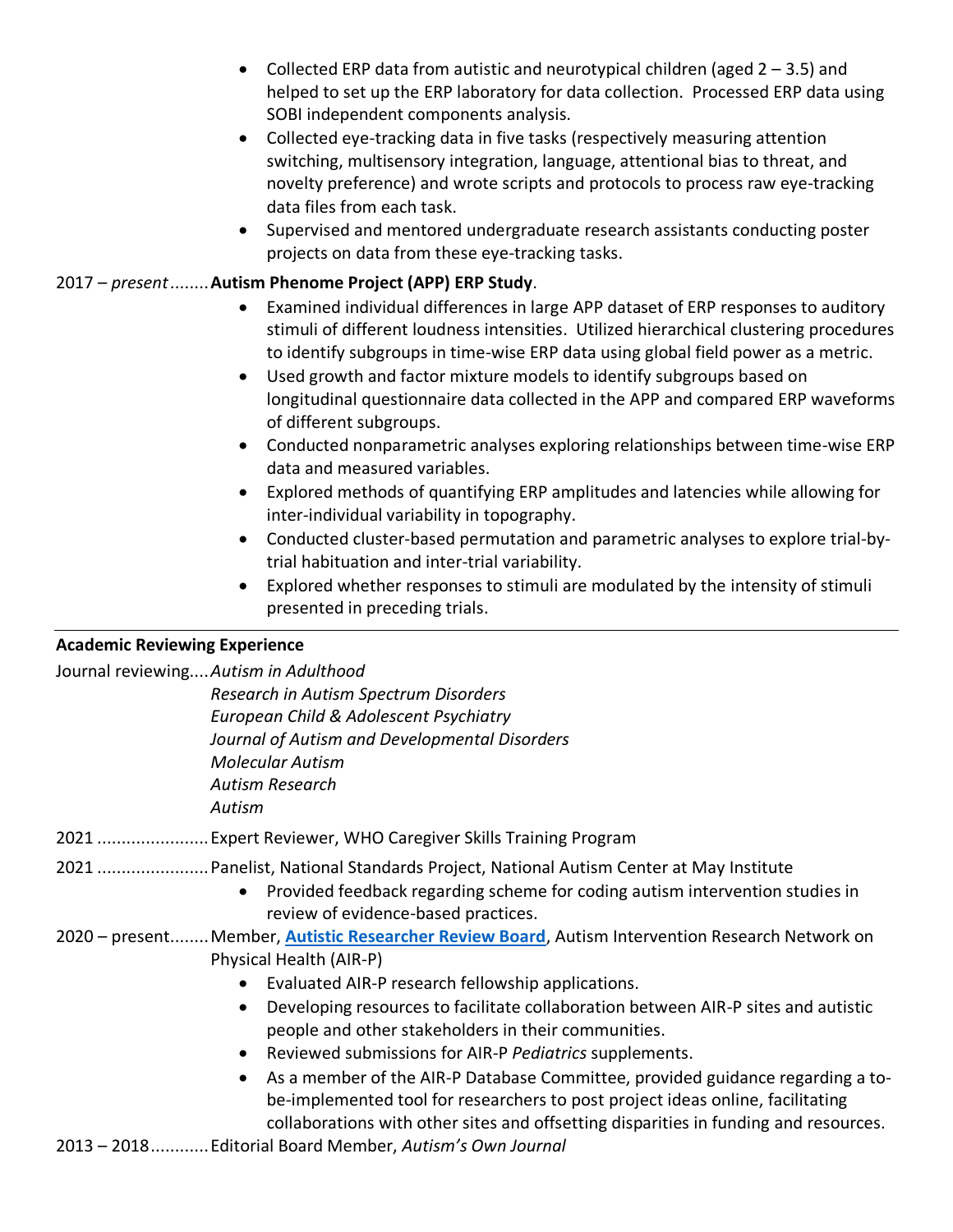- Collected ERP data from autistic and neurotypical children (aged  $2 3.5$ ) and helped to set up the ERP laboratory for data collection. Processed ERP data using SOBI independent components analysis.
- Collected eye-tracking data in five tasks (respectively measuring attention switching, multisensory integration, language, attentional bias to threat, and novelty preference) and wrote scripts and protocols to process raw eye-tracking data files from each task.
- Supervised and mentored undergraduate research assistants conducting poster projects on data from these eye-tracking tasks.

## 2017 – *present*........**Autism Phenome Project (APP) ERP Study**.

- Examined individual differences in large APP dataset of ERP responses to auditory stimuli of different loudness intensities. Utilized hierarchical clustering procedures to identify subgroups in time-wise ERP data using global field power as a metric.
- Used growth and factor mixture models to identify subgroups based on longitudinal questionnaire data collected in the APP and compared ERP waveforms of different subgroups.
- Conducted nonparametric analyses exploring relationships between time-wise ERP data and measured variables.
- Explored methods of quantifying ERP amplitudes and latencies while allowing for inter-individual variability in topography.
- Conducted cluster-based permutation and parametric analyses to explore trial-bytrial habituation and inter-trial variability.
- Explored whether responses to stimuli are modulated by the intensity of stimuli presented in preceding trials.

## **Academic Reviewing Experience**

Journal reviewing....*Autism in Adulthood*

*Research in Autism Spectrum Disorders European Child & Adolescent Psychiatry Journal of Autism and Developmental Disorders Molecular Autism Autism Research Autism*

- 2021 .......................Expert Reviewer, WHO Caregiver Skills Training Program
- 2021 .......................Panelist, National Standards Project, National Autism Center at May Institute
	- Provided feedback regarding scheme for coding autism intervention studies in review of evidence-based practices.
- 2020 present........Member, **[Autistic Researcher Review Board](https://airpnetwork.ucla.edu/arrb/)**, Autism Intervention Research Network on Physical Health (AIR-P)
	- Evaluated AIR-P research fellowship applications.
	- Developing resources to facilitate collaboration between AIR-P sites and autistic people and other stakeholders in their communities.
	- Reviewed submissions for AIR-P *Pediatrics* supplements.
	- As a member of the AIR-P Database Committee, provided guidance regarding a tobe-implemented tool for researchers to post project ideas online, facilitating collaborations with other sites and offsetting disparities in funding and resources.
- 2013 2018............Editorial Board Member, *Autism's Own Journal*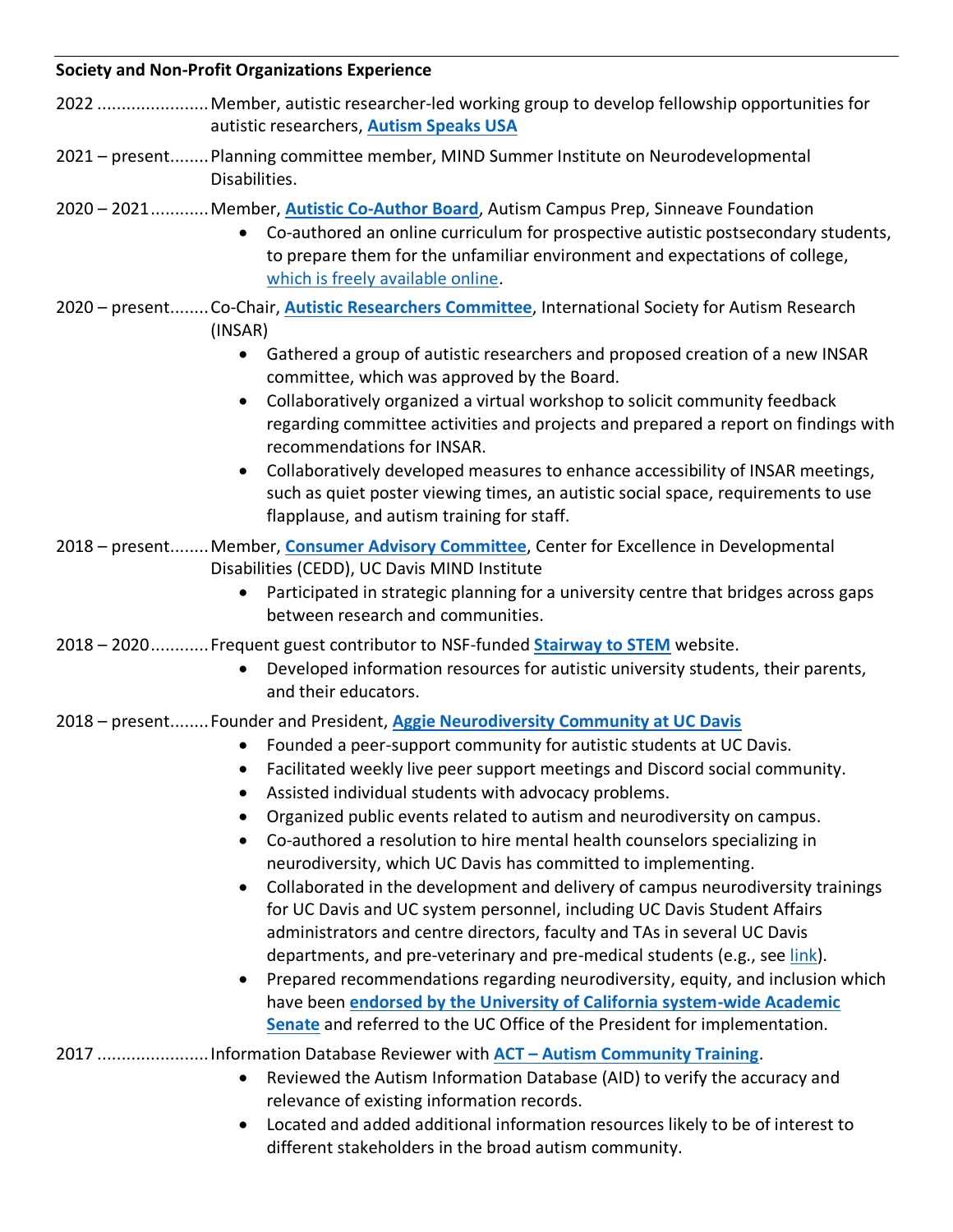## **Society and Non-Profit Organizations Experience**

- 2022 .......................Member, autistic researcher-led working group to develop fellowship opportunities for autistic researchers, **[Autism Speaks USA](https://www.autismspeaks.org/)**
- 2021 present........Planning committee member, MIND Summer Institute on Neurodevelopmental Disabilities.
- 2020 2021............Member, **[Autistic Co-Author](https://sinneavefoundation.org/our-work/post-secondary-education/education-training-after-high-school/) Board**, Autism Campus Prep, Sinneave Foundation
	- Co-authored an online curriculum for prospective autistic postsecondary students, to prepare them for the unfamiliar environment and expectations of college, [which is freely available online.](https://aidecanada.ca/learn/community-inclusion/autism-campus-prep)
- 2020 present........Co-Chair, **[Autistic Researchers](https://www.autism-insar.org/page/INSARARC) Committee**, International Society for Autism Research (INSAR)
	- Gathered a group of autistic researchers and proposed creation of a new INSAR committee, which was approved by the Board.
	- Collaboratively organized a virtual workshop to solicit community feedback regarding committee activities and projects and prepared a report on findings with recommendations for INSAR.
	- Collaboratively developed measures to enhance accessibility of INSAR meetings, such as quiet poster viewing times, an autistic social space, requirements to use flapplause, and autism training for staff.
- 2018 present........Member, **Consumer [Advisory Committee](https://health.ucdavis.edu/mindinstitute/centers/cedd/cedd_our_team.html)**, Center for Excellence in Developmental Disabilities (CEDD), UC Davis MIND Institute
	- Participated in strategic planning for a university centre that bridges across gaps between research and communities.
- 2018 2020............Frequent guest contributor to NSF-funded **[Stairway to STEM](https://www.stairwaytostem.org/author/p-dwyer/)** website.
	- Developed information resources for autistic university students, their parents, and their educators.
- 2018 present........Founder and President, **Aggie [Neurodiversity Community at UC Davis](https://neurodiversity-community.herokuapp.com/home)**
	- Founded a peer-support community for autistic students at UC Davis.
	- Facilitated weekly live peer support meetings and Discord social community.
	- Assisted individual students with advocacy problems.
	- Organized public events related to autism and neurodiversity on campus.
	- Co-authored a resolution to hire mental health counselors specializing in neurodiversity, which UC Davis has committed to implementing.
	- Collaborated in the development and delivery of campus neurodiversity trainings for UC Davis and UC system personnel, including UC Davis Student Affairs administrators and centre directors, faculty and TAs in several UC Davis departments, and pre-veterinary and pre-medical students (e.g., se[e link\)](https://video.ucdavis.edu/media/Graduate+Student+Workshop-Accessibility+and+Inclusion+in+TeachingA+Perspectives+of+Autistic+and+Neurodivergent+Students/1_hkuea1d7).
	- Prepared recommendations regarding neurodiversity, equity, and inclusion which have been **endorsed [by the University of California system-wide Academic](https://senate.universityofcalifornia.edu/_files/reports/mg-mb-recs-neurodivergent-students.pdf)  [Senate](https://senate.universityofcalifornia.edu/_files/reports/mg-mb-recs-neurodivergent-students.pdf)** and referred to the UC Office of the President for implementation.
- 2017 .......................Information Database Reviewer with **ACT – [Autism Community Training](https://www.actcommunity.ca/)**.
	- Reviewed the Autism Information Database (AID) to verify the accuracy and relevance of existing information records.
	- Located and added additional information resources likely to be of interest to different stakeholders in the broad autism community.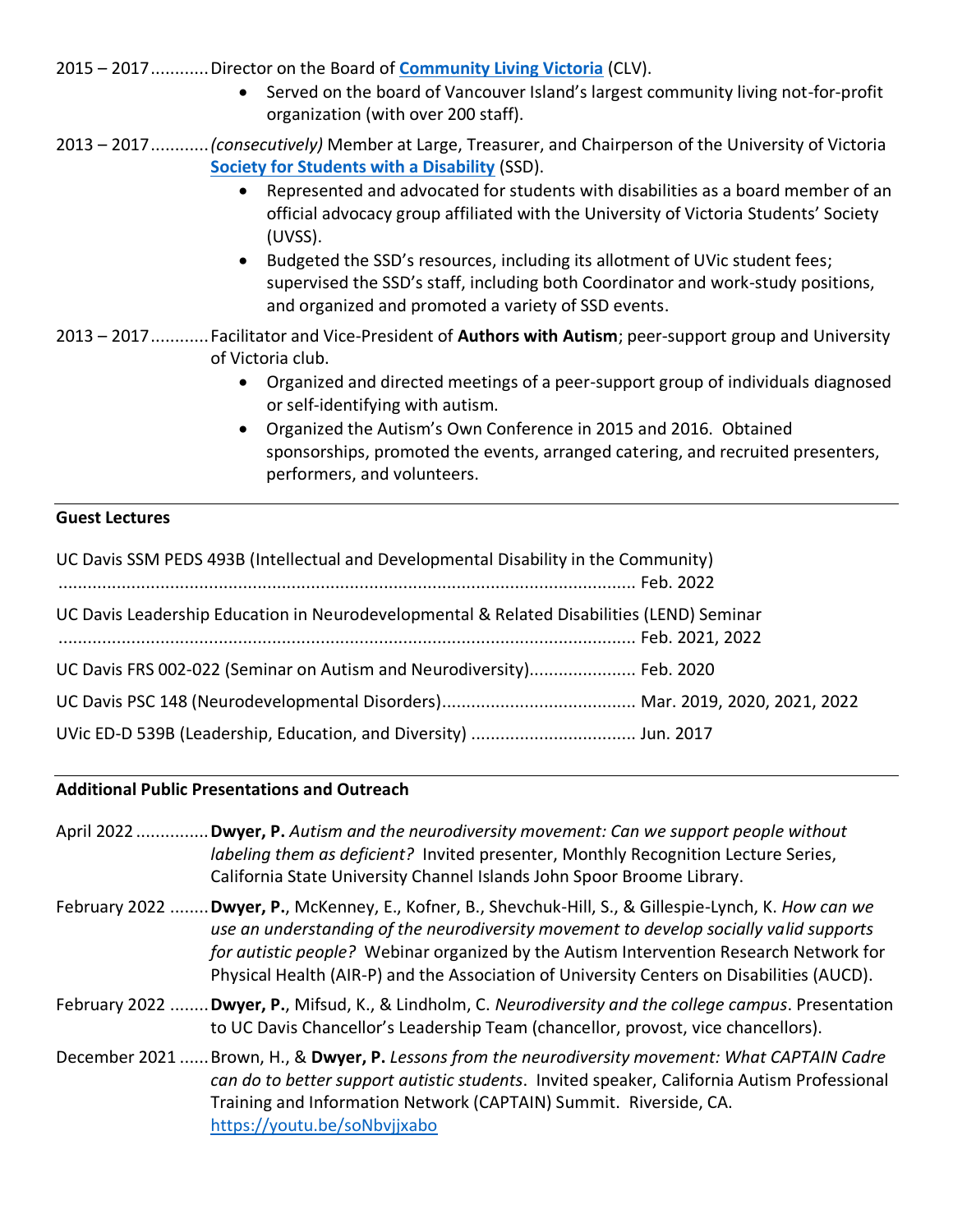- 2015 2017............Director on the Board of **[Community Living Victoria](https://www.communitylivingvictoria.ca/)** (CLV).
	- Served on the board of Vancouver Island's largest community living not-for-profit organization (with over 200 staff).
- 2013 2017............*(consecutively)* Member at Large, Treasurer, and Chairperson of the University of Victoria **[Society for Students with a Disability](https://uvicssd.ca/)** (SSD).
	- Represented and advocated for students with disabilities as a board member of an official advocacy group affiliated with the University of Victoria Students' Society (UVSS).
	- Budgeted the SSD's resources, including its allotment of UVic student fees; supervised the SSD's staff, including both Coordinator and work-study positions, and organized and promoted a variety of SSD events.
- 2013 2017............Facilitator and Vice-President of **Authors with Autism**; peer-support group and University of Victoria club.
	- Organized and directed meetings of a peer-support group of individuals diagnosed or self-identifying with autism.
	- Organized the Autism's Own Conference in 2015 and 2016. Obtained sponsorships, promoted the events, arranged catering, and recruited presenters, performers, and volunteers.

## **Guest Lectures**

| UC Davis SSM PEDS 493B (Intellectual and Developmental Disability in the Community)       |  |
|-------------------------------------------------------------------------------------------|--|
|                                                                                           |  |
| UC Davis Leadership Education in Neurodevelopmental & Related Disabilities (LEND) Seminar |  |
|                                                                                           |  |
| UC Davis FRS 002-022 (Seminar on Autism and Neurodiversity) Feb. 2020                     |  |
|                                                                                           |  |
|                                                                                           |  |

#### **Additional Public Presentations and Outreach**

April 2022 ...............**Dwyer, P.** *Autism and the neurodiversity movement: Can we support people without labeling them as deficient?* Invited presenter, Monthly Recognition Lecture Series, California State University Channel Islands John Spoor Broome Library.

- February 2022 ........**Dwyer, P.**, McKenney, E., Kofner, B., Shevchuk-Hill, S., & Gillespie-Lynch, K. *How can we use an understanding of the neurodiversity movement to develop socially valid supports for autistic people?* Webinar organized by the Autism Intervention Research Network for Physical Health (AIR-P) and the Association of University Centers on Disabilities (AUCD).
- February 2022 ........**Dwyer, P.**, Mifsud, K., & Lindholm, C. *Neurodiversity and the college campus*. Presentation to UC Davis Chancellor's Leadership Team (chancellor, provost, vice chancellors).
- December 2021 ......Brown, H., & **Dwyer, P.** *Lessons from the neurodiversity movement: What CAPTAIN Cadre can do to better support autistic students*. Invited speaker, California Autism Professional Training and Information Network (CAPTAIN) Summit. Riverside, CA. <https://youtu.be/soNbvjjxabo>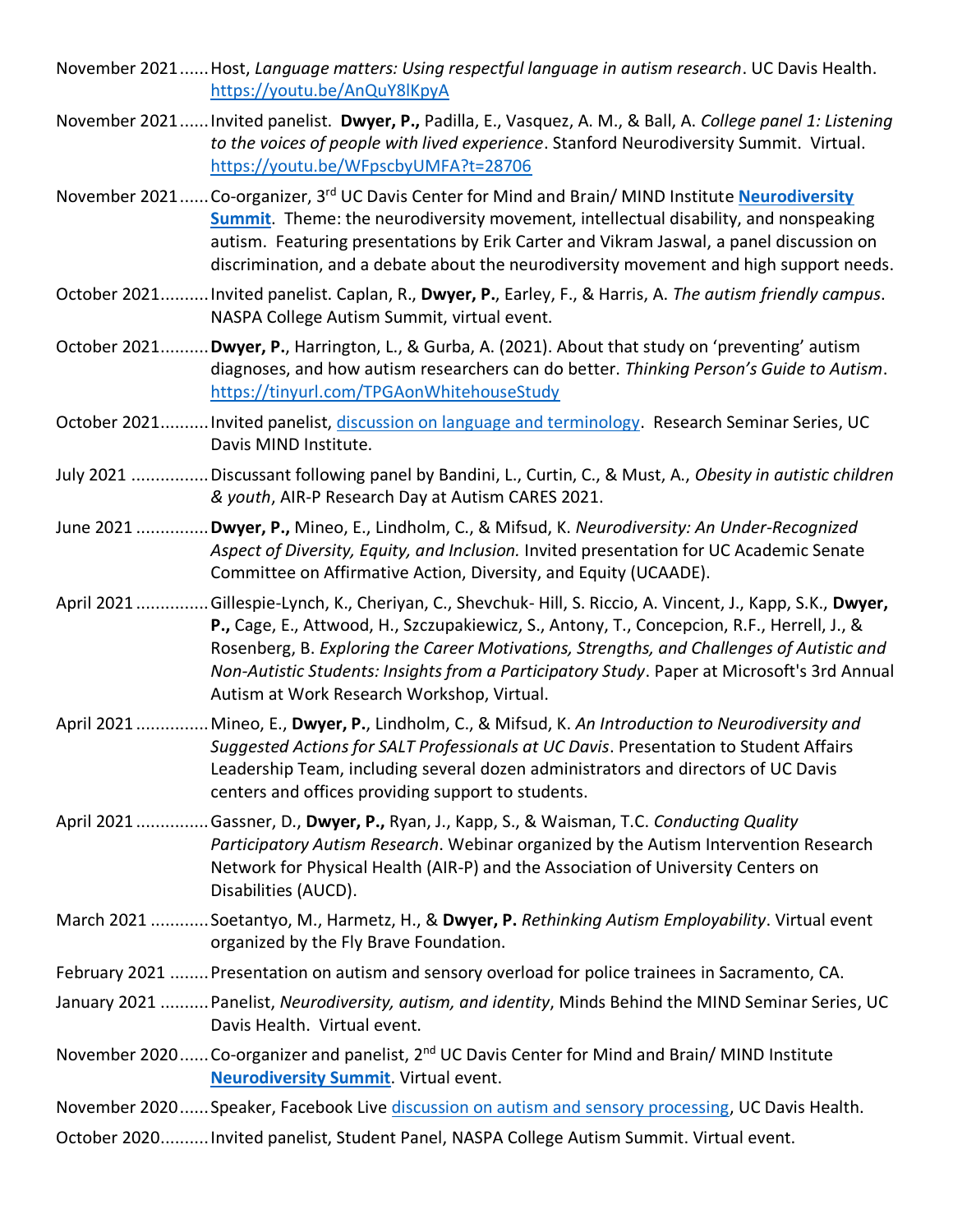- November 2021......Host, *Language matters: Using respectful language in autism research*. UC Davis Health. <https://youtu.be/AnQuY8lKpyA>
- November 2021......Invited panelist. **Dwyer, P.,** Padilla, E., Vasquez, A. M., & Ball, A. *College panel 1: Listening to the voices of people with lived experience*. Stanford Neurodiversity Summit. Virtual. <https://youtu.be/WFpscbyUMFA?t=28706>
- November 2021...... Co-organizer, 3<sup>rd</sup> UC Davis Center for Mind and Brain/ MIND Institute *Neurodiversity* **[Summit](https://www.youtube.com/playlist?list=PLQnwECjj19Tr_cOzdJx91-7nP6aHSdLSq)**. Theme: the neurodiversity movement, intellectual disability, and nonspeaking autism. Featuring presentations by Erik Carter and Vikram Jaswal, a panel discussion on discrimination, and a debate about the neurodiversity movement and high support needs.
- October 2021..........Invited panelist. Caplan, R., **Dwyer, P.**, Earley, F., & Harris, A. *The autism friendly campus*. NASPA College Autism Summit, virtual event.
- October 2021..........**Dwyer, P.**, Harrington, L., & Gurba, A. (2021). About that study on 'preventing' autism diagnoses, and how autism researchers can do better. *Thinking Person's Guide to Autism*. <https://tinyurl.com/TPGAonWhitehouseStudy>
- October 2021..........Invited panelist, [discussion on language and terminology.](https://youtu.be/D3jf0ZRln5c) Research Seminar Series, UC Davis MIND Institute.
- July 2021 ................Discussant following panel by Bandini, L., Curtin, C., & Must, A., *Obesity in autistic children & youth*, AIR-P Research Day at Autism CARES 2021.
- June 2021 ...............**Dwyer, P.,** Mineo, E., Lindholm, C., & Mifsud, K. *Neurodiversity: An Under-Recognized Aspect of Diversity, Equity, and Inclusion.* Invited presentation for UC Academic Senate Committee on Affirmative Action, Diversity, and Equity (UCAADE).
- April 2021 ...............Gillespie-Lynch, K., Cheriyan, C., Shevchuk- Hill, S. Riccio, A. Vincent, J., Kapp, S.K., **Dwyer, P.,** Cage, E., Attwood, H., Szczupakiewicz, S., Antony, T., Concepcion, R.F., Herrell, J., & Rosenberg, B. *Exploring the Career Motivations, Strengths, and Challenges of Autistic and Non-Autistic Students: Insights from a Participatory Study*. Paper at Microsoft's 3rd Annual Autism at Work Research Workshop, Virtual.
- April 2021 ...............Mineo, E., **Dwyer, P.**, Lindholm, C., & Mifsud, K. *An Introduction to Neurodiversity and Suggested Actions for SALT Professionals at UC Davis*. Presentation to Student Affairs Leadership Team, including several dozen administrators and directors of UC Davis centers and offices providing support to students.
- April 2021 ...............Gassner, D., **Dwyer, P.,** Ryan, J., Kapp, S., & Waisman, T.C. *Conducting Quality Participatory Autism Research*. Webinar organized by the Autism Intervention Research Network for Physical Health (AIR-P) and the Association of University Centers on Disabilities (AUCD).
- March 2021 ............Soetantyo, M., Harmetz, H., & **Dwyer, P.** *Rethinking Autism Employability*. Virtual event organized by the Fly Brave Foundation.
- February 2021 ........Presentation on autism and sensory overload for police trainees in Sacramento, CA.
- January 2021 ..........Panelist, *Neurodiversity, autism, and identity*, Minds Behind the MIND Seminar Series, UC Davis Health. Virtual event.
- November 2020...... Co-organizer and panelist, 2<sup>nd</sup> UC Davis Center for Mind and Brain/ MIND Institute **[Neurodiversity Summit](https://www.youtube.com/watch?v=LAzZrpUsYDg&list=PLQnwECjj19TqFbsTGuxqyc8AQu_6B3ST9)**. Virtual event.

November 2020......Speaker, Facebook Live [discussion on autism and sensory processing,](https://youtu.be/T1etps5lfrQ) UC Davis Health.

October 2020..........Invited panelist, Student Panel, NASPA College Autism Summit. Virtual event.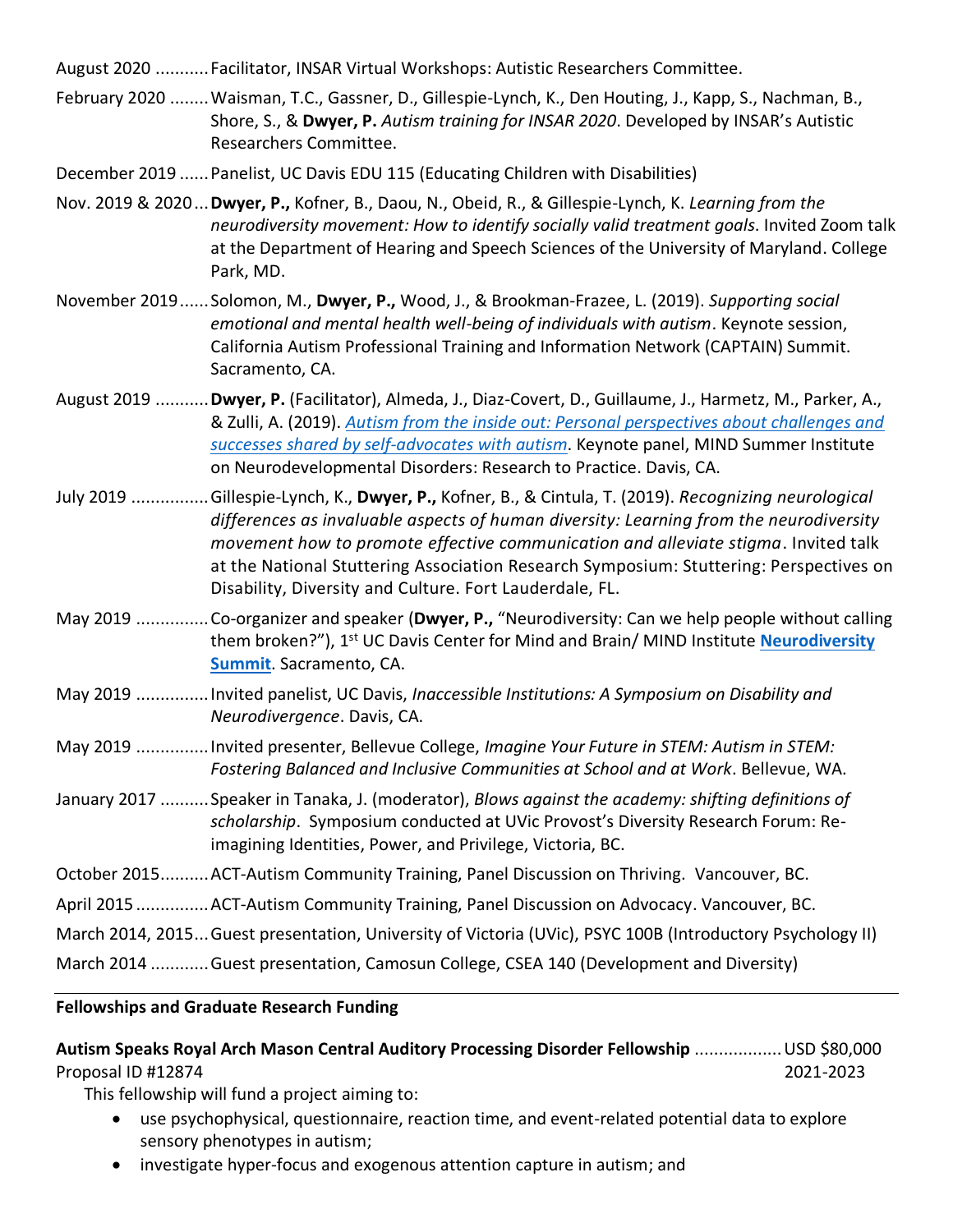August 2020 ...........Facilitator, INSAR Virtual Workshops: Autistic Researchers Committee.

- February 2020 ........Waisman, T.C., Gassner, D., Gillespie-Lynch, K., Den Houting, J., Kapp, S., Nachman, B., Shore, S., & **Dwyer, P.** *Autism training for INSAR 2020*. Developed by INSAR's Autistic Researchers Committee.
- December 2019 ......Panelist, UC Davis EDU 115 (Educating Children with Disabilities)
- Nov. 2019 & 2020...**Dwyer, P.,** Kofner, B., Daou, N., Obeid, R., & Gillespie-Lynch, K. *Learning from the neurodiversity movement: How to identify socially valid treatment goals*. Invited Zoom talk at the Department of Hearing and Speech Sciences of the University of Maryland. College Park, MD.
- November 2019......Solomon, M., **Dwyer, P.,** Wood, J., & Brookman-Frazee, L. (2019). *Supporting social emotional and mental health well-being of individuals with autism*. Keynote session, California Autism Professional Training and Information Network (CAPTAIN) Summit. Sacramento, CA.
- August 2019 ...........**Dwyer, P.** (Facilitator), Almeda, J., Diaz-Covert, D., Guillaume, J., Harmetz, M., Parker, A., & Zulli, A. (2019). *[Autism from the inside out: Personal perspectives about challenges and](https://youtu.be/yok6WEmkYTc)  [successes shared by self-advocates with autism](https://youtu.be/yok6WEmkYTc)*. Keynote panel, MIND Summer Institute on Neurodevelopmental Disorders: Research to Practice. Davis, CA.
- July 2019 ................Gillespie-Lynch, K., **Dwyer, P.,** Kofner, B., & Cintula, T. (2019). *Recognizing neurological differences as invaluable aspects of human diversity: Learning from the neurodiversity movement how to promote effective communication and alleviate stigma*. Invited talk at the National Stuttering Association Research Symposium: Stuttering: Perspectives on Disability, Diversity and Culture. Fort Lauderdale, FL.
- May 2019 ...............Co-organizer and speaker (**Dwyer, P.,** "Neurodiversity: Can we help people without calling them broken?"), 1 st UC Davis Center for Mind and Brain/ MIND Institute **[Neurodiversity](https://www.youtube.com/watch?v=1q6GTJsZ6qY&list=PLQnwECjj19TqFbsTGuxqyc8AQu_6B3ST9&index=7)  [Summit](https://www.youtube.com/watch?v=1q6GTJsZ6qY&list=PLQnwECjj19TqFbsTGuxqyc8AQu_6B3ST9&index=7)**. Sacramento, CA.
- May 2019 ...............Invited panelist, UC Davis, *Inaccessible Institutions: A Symposium on Disability and Neurodivergence*. Davis, CA.
- May 2019 ...............Invited presenter, Bellevue College, *Imagine Your Future in STEM: Autism in STEM: Fostering Balanced and Inclusive Communities at School and at Work*. Bellevue, WA.
- January 2017 ..........Speaker in Tanaka, J. (moderator), *Blows against the academy: shifting definitions of scholarship*. Symposium conducted at UVic Provost's Diversity Research Forum: Reimagining Identities, Power, and Privilege, Victoria, BC.

October 2015..........ACT-Autism Community Training, Panel Discussion on Thriving. Vancouver, BC.

April 2015 ...............ACT-Autism Community Training, Panel Discussion on Advocacy. Vancouver, BC.

March 2014, 2015...Guest presentation, University of Victoria (UVic), PSYC 100B (Introductory Psychology II)

March 2014 ............Guest presentation, Camosun College, CSEA 140 (Development and Diversity)

#### **Fellowships and Graduate Research Funding**

**Autism Speaks Royal Arch Mason Central Auditory Processing Disorder Fellowship** ..................USD \$80,000 Proposal ID #12874 2021-2023

This fellowship will fund a project aiming to:

- use psychophysical, questionnaire, reaction time, and event-related potential data to explore sensory phenotypes in autism;
- investigate hyper-focus and exogenous attention capture in autism; and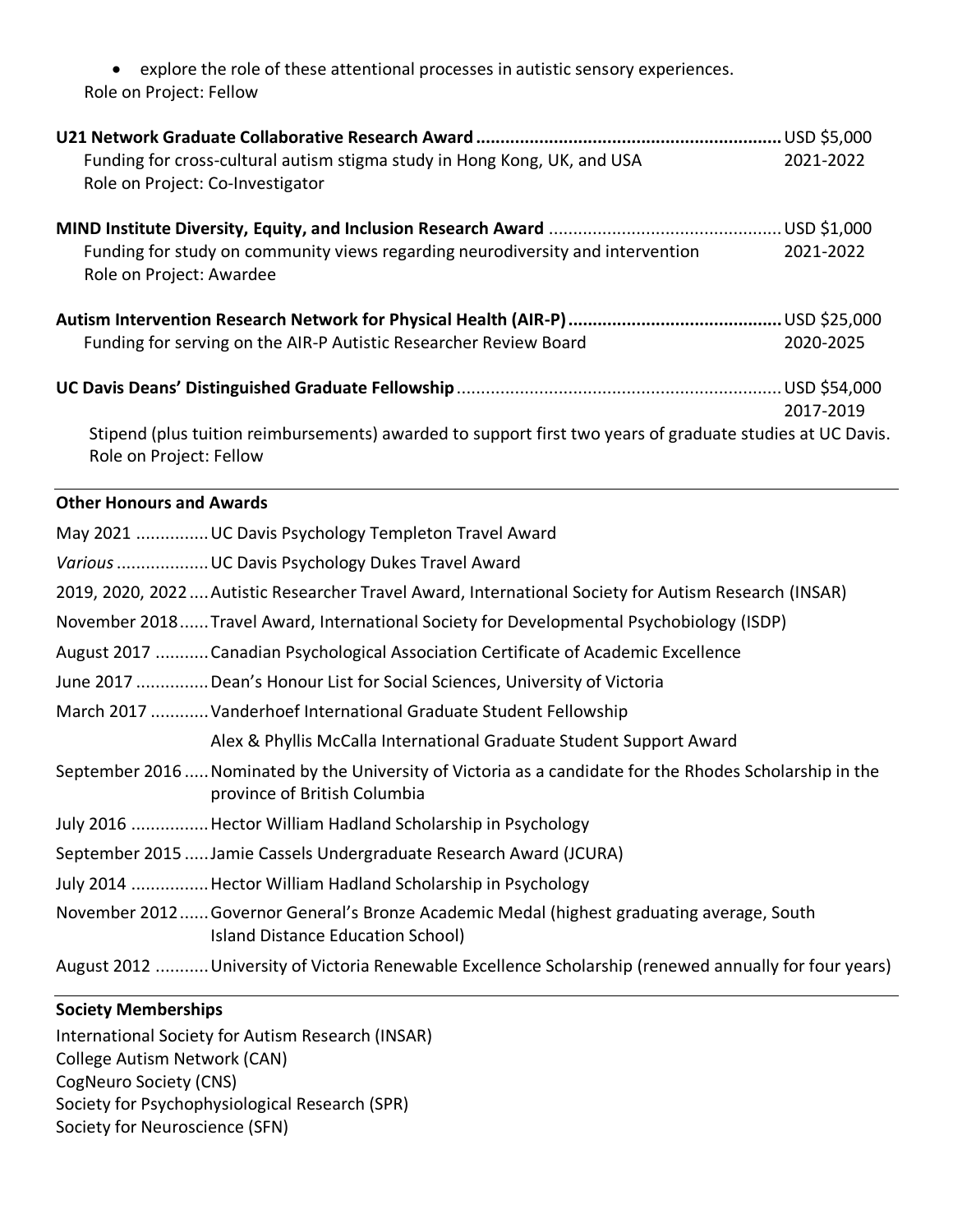• explore the role of these attentional processes in autistic sensory experiences. Role on Project: Fellow

| Funding for cross-cultural autism stigma study in Hong Kong, UK, and USA<br>Role on Project: Co-Investigator                             |           |  |  |
|------------------------------------------------------------------------------------------------------------------------------------------|-----------|--|--|
| Funding for study on community views regarding neurodiversity and intervention<br>Role on Project: Awardee                               |           |  |  |
| Funding for serving on the AIR-P Autistic Researcher Review Board                                                                        | 2020-2025 |  |  |
| Stipend (plus tuition reimbursements) awarded to support first two years of graduate studies at UC Davis.<br>Role on Project: Fellow     | 2017-2019 |  |  |
| <b>Other Honours and Awards</b>                                                                                                          |           |  |  |
| May 2021  UC Davis Psychology Templeton Travel Award                                                                                     |           |  |  |
| Various  UC Davis Psychology Dukes Travel Award                                                                                          |           |  |  |
| 2019, 2020, 2022 Autistic Researcher Travel Award, International Society for Autism Research (INSAR)                                     |           |  |  |
| November 2018 Travel Award, International Society for Developmental Psychobiology (ISDP)                                                 |           |  |  |
| August 2017  Canadian Psychological Association Certificate of Academic Excellence                                                       |           |  |  |
| June 2017 Dean's Honour List for Social Sciences, University of Victoria                                                                 |           |  |  |
| March 2017  Vanderhoef International Graduate Student Fellowship                                                                         |           |  |  |
| Alex & Phyllis McCalla International Graduate Student Support Award                                                                      |           |  |  |
| September 2016  Nominated by the University of Victoria as a candidate for the Rhodes Scholarship in the<br>province of British Columbia |           |  |  |
| July 2016  Hector William Hadland Scholarship in Psychology                                                                              |           |  |  |
| September 2015  Jamie Cassels Undergraduate Research Award (JCURA)                                                                       |           |  |  |
| July 2014  Hector William Hadland Scholarship in Psychology                                                                              |           |  |  |
| November 2012 Governor General's Bronze Academic Medal (highest graduating average, South                                                |           |  |  |

- Island Distance Education School)
- August 2012 ...........University of Victoria Renewable Excellence Scholarship (renewed annually for four years)

# **Society Memberships**

International Society for Autism Research (INSAR) College Autism Network (CAN) CogNeuro Society (CNS) Society for Psychophysiological Research (SPR) Society for Neuroscience (SFN)